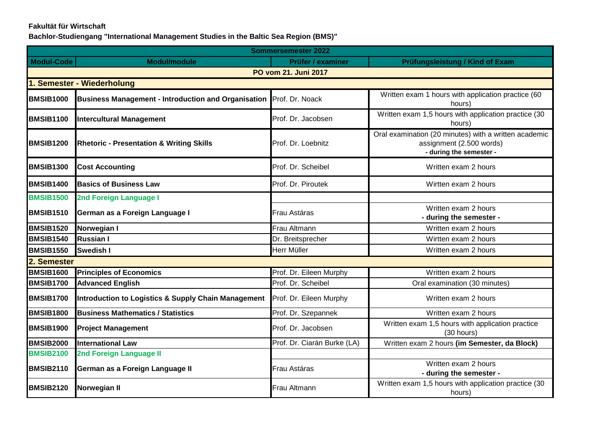## **Fakultät für Wirtschaft**

**Bachlor-Studiengang "International Management Studies in the Baltic Sea Region (BMS)"**

| <b>Sommersemester 2022</b> |                                                                |                             |                                                                                                              |
|----------------------------|----------------------------------------------------------------|-----------------------------|--------------------------------------------------------------------------------------------------------------|
| <b>Modul-Code</b>          | <b>Modul/module</b>                                            | <b>Prüfer / examiner</b>    | Prüfungsleistung / Kind of Exam                                                                              |
|                            |                                                                | PO vom 21. Juni 2017        |                                                                                                              |
|                            | <b>Semester - Wiederholung</b>                                 |                             |                                                                                                              |
| <b>BMSIB1000</b>           | <b>Business Management - Introduction and Organisation</b>     | Prof. Dr. Noack             | Written exam 1 hours with application practice (60<br>hours)                                                 |
| <b>BMSIB1100</b>           | <b>Intercultural Management</b>                                | Prof. Dr. Jacobsen          | Written exam 1,5 hours with application practice (30<br>hours)                                               |
| <b>BMSIB1200</b>           | <b>Rhetoric - Presentation &amp; Writing Skills</b>            | Prof. Dr. Loebnitz          | Oral examination (20 minutes) with a written academic<br>assignment (2.500 words)<br>- during the semester - |
| <b>BMSIB1300</b>           | <b>Cost Accounting</b>                                         | Prof. Dr. Scheibel          | Written exam 2 hours                                                                                         |
| <b>BMSIB1400</b>           | <b>Basics of Business Law</b>                                  | Prof. Dr. Piroutek          | Wirtten exam 2 hours                                                                                         |
| <b>BMSIB1500</b>           | 2nd Foreign Language I                                         |                             |                                                                                                              |
| <b>BMSIB1510</b>           | German as a Foreign Language I                                 | Frau Astáras                | Written exam 2 hours<br>- during the semester -                                                              |
| <b>BMSIB1520</b>           | Norwegian I                                                    | Frau Altmann                | Written exam 2 hours                                                                                         |
| <b>BMSIB1540</b>           | <b>Russian I</b>                                               | Dr. Breitsprecher           | Wirtten exam 2 hours                                                                                         |
| <b>BMSIB1550</b>           | Swedish I                                                      | Herr Müller                 | Written exam 2 hours                                                                                         |
| 2. Semester                |                                                                |                             |                                                                                                              |
| <b>BMSIB1600</b>           | <b>Principles of Economics</b>                                 | Prof. Dr. Eileen Murphy     | Written exam 2 hours                                                                                         |
| <b>BMSIB1700</b>           | <b>Advanced English</b>                                        | Prof. Dr. Scheibel          | Oral examination (30 minutes)                                                                                |
| <b>BMSIB1700</b>           | <b>Introduction to Logistics &amp; Supply Chain Management</b> | Prof. Dr. Eileen Murphy     | Written exam 2 hours                                                                                         |
| <b>BMSIB1800</b>           | <b>Business Mathematics / Statistics</b>                       | Prof. Dr. Szepannek         | Written exam 2 hours                                                                                         |
| <b>BMSIB1900</b>           | <b>Project Management</b>                                      | Prof. Dr. Jacobsen          | Written exam 1,5 hours with application practice<br>(30 hours)                                               |
| <b>BMSIB2000</b>           | <b>International Law</b>                                       | Prof. Dr. Ciarán Burke (LA) | Written exam 2 hours (im Semester, da Block)                                                                 |
| <b>BMSIB2100</b>           | 2nd Foreign Language II                                        |                             |                                                                                                              |
| <b>BMSIB2110</b>           | German as a Foreign Language II                                | Frau Astáras                | Written exam 2 hours<br>- during the semester -                                                              |
| <b>BMSIB2120</b>           | Norwegian II                                                   | Frau Altmann                | Written exam 1,5 hours with application practice (30<br>hours)                                               |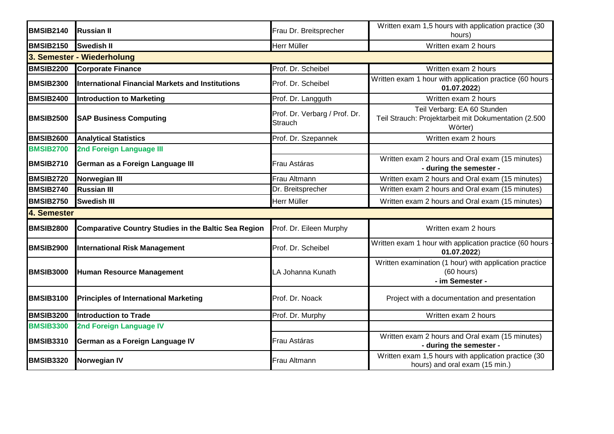| <b>BMSIB2140</b> | <b>Russian II</b>                                           | Frau Dr. Breitsprecher                   | Written exam 1,5 hours with application practice (30<br>hours)                                 |  |
|------------------|-------------------------------------------------------------|------------------------------------------|------------------------------------------------------------------------------------------------|--|
| <b>BMSIB2150</b> | <b>Swedish II</b>                                           | Herr Müller                              | Written exam 2 hours                                                                           |  |
|                  | 3. Semester - Wiederholung                                  |                                          |                                                                                                |  |
| <b>BMSIB2200</b> | <b>Corporate Finance</b>                                    | Prof. Dr. Scheibel                       | Written exam 2 hours                                                                           |  |
| <b>BMSIB2300</b> | <b>International Financial Markets and Institutions</b>     | Prof. Dr. Scheibel                       | Written exam 1 hour with application practice (60 hours<br>01.07.2022)                         |  |
| <b>BMSIB2400</b> | <b>Introduction to Marketing</b>                            | Prof. Dr. Langguth                       | Written exam 2 hours                                                                           |  |
| <b>BMSIB2500</b> | <b>SAP Business Computing</b>                               | Prof. Dr. Verbarg / Prof. Dr.<br>Strauch | Teil Verbarg: EA 60 Stunden<br>Teil Strauch: Projektarbeit mit Dokumentation (2.500<br>Wörter) |  |
| <b>BMSIB2600</b> | <b>Analytical Statistics</b>                                | Prof. Dr. Szepannek                      | Written exam 2 hours                                                                           |  |
| <b>BMSIB2700</b> | 2nd Foreign Language III                                    |                                          |                                                                                                |  |
| <b>BMSIB2710</b> | German as a Foreign Language III                            | Frau Astáras                             | Written exam 2 hours and Oral exam (15 minutes)<br>- during the semester -                     |  |
| <b>BMSIB2720</b> | Norwegian III                                               | Frau Altmann                             | Written exam 2 hours and Oral exam (15 minutes)                                                |  |
| BMSIB2740        | <b>Russian III</b>                                          | Dr. Breitsprecher                        | Written exam 2 hours and Oral exam (15 minutes)                                                |  |
| <b>BMSIB2750</b> | <b>Swedish III</b>                                          | Herr Müller                              | Written exam 2 hours and Oral exam (15 minutes)                                                |  |
| 4. Semester      |                                                             |                                          |                                                                                                |  |
| <b>BMSIB2800</b> | <b>Comparative Country Studies in the Baltic Sea Region</b> | Prof. Dr. Eileen Murphy                  | Written exam 2 hours                                                                           |  |
| <b>BMSIB2900</b> | <b>International Risk Management</b>                        | Prof. Dr. Scheibel                       | Written exam 1 hour with application practice (60 hours<br>01.07.2022)                         |  |
| <b>BMSIB3000</b> | Human Resource Management                                   | LA Johanna Kunath                        | Written examination (1 hour) with application practice<br>(60 hours)<br>- im Semester -        |  |
| <b>BMSIB3100</b> | <b>Principles of International Marketing</b>                | Prof. Dr. Noack                          | Project with a documentation and presentation                                                  |  |
| <b>BMSIB3200</b> | <b>Introduction to Trade</b>                                | Prof. Dr. Murphy                         | Written exam 2 hours                                                                           |  |
| <b>BMSIB3300</b> | 2nd Foreign Language IV                                     |                                          |                                                                                                |  |
| <b>BMSIB3310</b> | German as a Foreign Language IV                             | Frau Astáras                             | Written exam 2 hours and Oral exam (15 minutes)<br>- during the semester -                     |  |
| <b>BMSIB3320</b> | <b>Norwegian IV</b>                                         | Frau Altmann                             | Written exam 1,5 hours with application practice (30<br>hours) and oral exam (15 min.)         |  |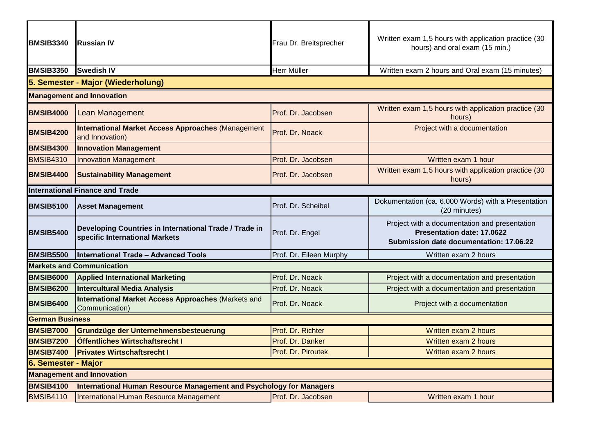| <b>BMSIB3340</b>                                                                               | Russian IV                                                                               | Frau Dr. Breitsprecher  | Written exam 1,5 hours with application practice (30<br>hours) and oral exam (15 min.)                                 |
|------------------------------------------------------------------------------------------------|------------------------------------------------------------------------------------------|-------------------------|------------------------------------------------------------------------------------------------------------------------|
| <b>BMSIB3350</b>                                                                               | <b>Swedish IV</b>                                                                        | Herr Müller             | Written exam 2 hours and Oral exam (15 minutes)                                                                        |
|                                                                                                | 5. Semester - Major (Wiederholung)                                                       |                         |                                                                                                                        |
|                                                                                                | <b>Management and Innovation</b>                                                         |                         |                                                                                                                        |
| <b>BMSIB4000</b>                                                                               | <b>Lean Management</b>                                                                   | Prof. Dr. Jacobsen      | Written exam 1,5 hours with application practice (30<br>hours)                                                         |
| <b>BMSIB4200</b>                                                                               | <b>International Market Access Approaches (Management</b><br>and Innovation)             | Prof. Dr. Noack         | Project with a documentation                                                                                           |
| <b>BMSIB4300</b>                                                                               | <b>Innovation Management</b>                                                             |                         |                                                                                                                        |
| <b>BMSIB4310</b>                                                                               | <b>Innovation Management</b>                                                             | Prof. Dr. Jacobsen      | Written exam 1 hour                                                                                                    |
| <b>BMSIB4400</b>                                                                               | <b>Sustainability Management</b>                                                         | Prof. Dr. Jacobsen      | Written exam 1,5 hours with application practice (30<br>hours)                                                         |
|                                                                                                | <b>International Finance and Trade</b>                                                   |                         |                                                                                                                        |
| <b>BMSIB5100</b>                                                                               | <b>Asset Management</b>                                                                  | Prof. Dr. Scheibel      | Dokumentation (ca. 6.000 Words) with a Presentation<br>(20 minutes)                                                    |
| <b>BMSIB5400</b>                                                                               | Developing Countries in International Trade / Trade in<br>specific International Markets | Prof. Dr. Engel         | Project with a documentation and presentation<br>Presentation date: 17.0622<br>Submission date documentation: 17.06.22 |
| <b>BMSIB5500</b>                                                                               | <b>International Trade - Advanced Tools</b>                                              | Prof. Dr. Eileen Murphy | Written exam 2 hours                                                                                                   |
| <b>Markets and Communication</b>                                                               |                                                                                          |                         |                                                                                                                        |
| <b>BMSIB6000</b>                                                                               | <b>Applied International Marketing</b>                                                   | Prof. Dr. Noack         | Project with a documentation and presentation                                                                          |
| <b>BMSIB6200</b>                                                                               | <b>Intercultural Media Analysis</b>                                                      | Prof. Dr. Noack         | Project with a documentation and presentation                                                                          |
| <b>BMSIB6400</b>                                                                               | <b>International Market Access Approaches (Markets and</b><br>Communication)             | Prof. Dr. Noack         | Project with a documentation                                                                                           |
| <b>German Business</b>                                                                         |                                                                                          |                         |                                                                                                                        |
| <b>BMSIB7000</b>                                                                               | Grundzüge der Unternehmensbesteuerung                                                    | Prof. Dr. Richter       | Written exam 2 hours                                                                                                   |
| <b>BMSIB7200</b>                                                                               | Öffentliches Wirtschaftsrecht I                                                          | Prof. Dr. Danker        | Written exam 2 hours                                                                                                   |
| <b>BMSIB7400</b>                                                                               | <b>Privates Wirtschaftsrecht I</b>                                                       | Prof. Dr. Piroutek      | Written exam 2 hours                                                                                                   |
| 6. Semester - Major                                                                            |                                                                                          |                         |                                                                                                                        |
| <b>Management and Innovation</b>                                                               |                                                                                          |                         |                                                                                                                        |
| <b>BMSIB4100</b><br><b>International Human Resource Management and Psychology for Managers</b> |                                                                                          |                         |                                                                                                                        |
| <b>BMSIB4110</b>                                                                               | International Human Resource Management                                                  | Prof. Dr. Jacobsen      | Written exam 1 hour                                                                                                    |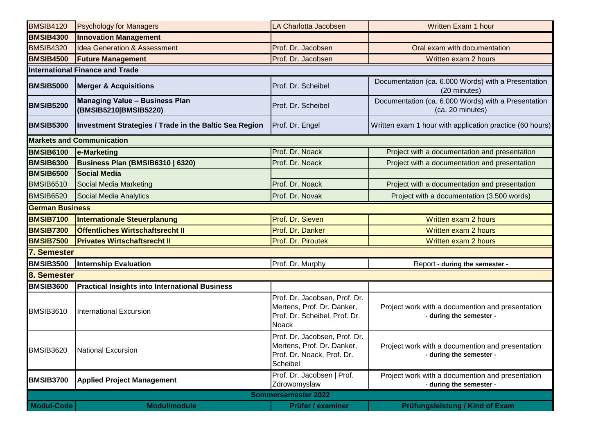| <b>BMSIB4120</b>           | <b>Psychology for Managers</b>                                 | LA Charlotta Jacobsen                                                                                        | Written Exam 1 hour                                                         |  |
|----------------------------|----------------------------------------------------------------|--------------------------------------------------------------------------------------------------------------|-----------------------------------------------------------------------------|--|
| <b>BMSIB4300</b>           | <b>Innovation Management</b>                                   |                                                                                                              |                                                                             |  |
| <b>BMSIB4320</b>           | <b>Idea Generation &amp; Assessment</b>                        | Prof. Dr. Jacobsen                                                                                           | Oral exam with documentation                                                |  |
| <b>BMSIB4500</b>           | <b>Future Management</b>                                       | Prof. Dr. Jacobsen                                                                                           | Written exam 2 hours                                                        |  |
|                            | <b>International Finance and Trade</b>                         |                                                                                                              |                                                                             |  |
| <b>BMSIB5000</b>           | <b>Merger &amp; Acquisitions</b>                               | Prof. Dr. Scheibel                                                                                           | Documentation (ca. 6.000 Words) with a Presentation<br>(20 minutes)         |  |
| <b>BMSIB5200</b>           | <b>Managing Value - Business Plan</b><br>(BMSIB5210 BMSIB5220) | Prof. Dr. Scheibel                                                                                           | Documentation (ca. 6.000 Words) with a Presentation<br>(ca. 20 minutes)     |  |
| <b>BMSIB5300</b>           | <b>Investment Strategies / Trade in the Baltic Sea Region</b>  | Prof. Dr. Engel                                                                                              | Written exam 1 hour with application practice (60 hours)                    |  |
|                            | <b>Markets and Communication</b>                               |                                                                                                              |                                                                             |  |
| <b>BMSIB6100</b>           | e-Marketing                                                    | Prof. Dr. Noack                                                                                              | Project with a documentation and presentation                               |  |
| <b>BMSIB6300</b>           | Business Plan (BMSIB6310   6320)                               | Prof. Dr. Noack                                                                                              | Project with a documentation and presentation                               |  |
| <b>BMSIB6500</b>           | <b>Social Media</b>                                            |                                                                                                              |                                                                             |  |
| <b>BMSIB6510</b>           | Social Media Marketing                                         | Prof. Dr. Noack                                                                                              | Project with a documentation and presentation                               |  |
| <b>BMSIB6520</b>           | Social Media Analytics                                         | Prof. Dr. Novak                                                                                              | Project with a documentation (3.500 words)                                  |  |
| <b>German Business</b>     |                                                                |                                                                                                              |                                                                             |  |
| <b>BMSIB7100</b>           | <b>Internationale Steuerplanung</b>                            | Prof. Dr. Sieven                                                                                             | Written exam 2 hours                                                        |  |
| <b>BMSIB7300</b>           | Öffentliches Wirtschaftsrecht II                               | Prof. Dr. Danker                                                                                             | Written exam 2 hours                                                        |  |
| <b>BMSIB7500</b>           | <b>Privates Wirtschaftsrecht II</b>                            | Prof. Dr. Piroutek                                                                                           | Written exam 2 hours                                                        |  |
| 7. Semester                |                                                                |                                                                                                              |                                                                             |  |
| <b>BMSIB3500</b>           | <b>Internship Evaluation</b>                                   | Prof. Dr. Murphy                                                                                             | Report - during the semester -                                              |  |
| 8. Semester                |                                                                |                                                                                                              |                                                                             |  |
| <b>BMSIB3600</b>           | <b>Practical Insights into International Business</b>          |                                                                                                              |                                                                             |  |
| BMSIB3610                  | <b>International Excursion</b>                                 | Prof. Dr. Jacobsen, Prof. Dr.<br>Mertens, Prof. Dr. Danker,<br>Prof. Dr. Scheibel, Prof. Dr.<br><b>Noack</b> | Project work with a documention and presentation<br>- during the semester - |  |
| BMSIB3620                  | <b>National Excursion</b>                                      | Prof. Dr. Jacobsen, Prof. Dr.<br>Mertens, Prof. Dr. Danker,<br>Prof. Dr. Noack, Prof. Dr.<br>Scheibel        | Project work with a documention and presentation<br>- during the semester - |  |
| <b>BMSIB3700</b>           | <b>Applied Project Management</b>                              | Prof. Dr. Jacobsen   Prof.<br>Zdrowomyslaw                                                                   | Project work with a documention and presentation<br>- during the semester - |  |
| <b>Sommersemester 2022</b> |                                                                |                                                                                                              |                                                                             |  |
| <b>Modul-Code</b>          | <b>Modul/module</b>                                            | Prüfer / examiner                                                                                            | Prüfungsleistung / Kind of Exam                                             |  |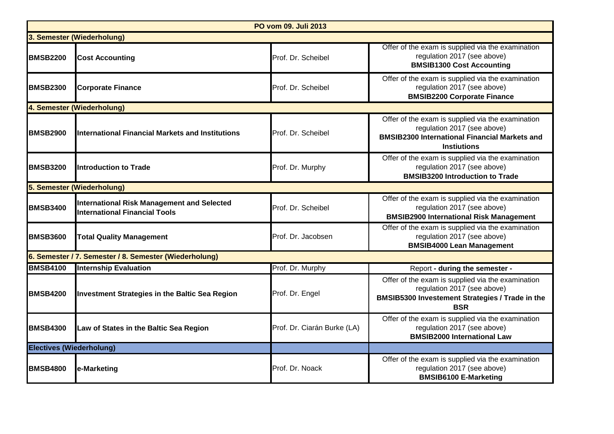| PO vom 09. Juli 2013                                   |                                                                                           |                             |                                                                                                                                                                |
|--------------------------------------------------------|-------------------------------------------------------------------------------------------|-----------------------------|----------------------------------------------------------------------------------------------------------------------------------------------------------------|
|                                                        | 3. Semester (Wiederholung)                                                                |                             |                                                                                                                                                                |
| <b>BMSB2200</b>                                        | <b>Cost Accounting</b>                                                                    | Prof. Dr. Scheibel          | Offer of the exam is supplied via the examination<br>regulation 2017 (see above)<br><b>BMSIB1300 Cost Accounting</b>                                           |
| <b>BMSB2300</b>                                        | <b>Corporate Finance</b>                                                                  | Prof. Dr. Scheibel          | Offer of the exam is supplied via the examination<br>regulation 2017 (see above)<br><b>BMSIB2200 Corporate Finance</b>                                         |
|                                                        | 4. Semester (Wiederholung)                                                                |                             |                                                                                                                                                                |
| <b>BMSB2900</b>                                        | <b>International Financial Markets and Institutions</b>                                   | Prof. Dr. Scheibel          | Offer of the exam is supplied via the examination<br>regulation 2017 (see above)<br><b>BMSIB2300 International Financial Markets and</b><br><b>Instiutions</b> |
| <b>BMSB3200</b>                                        | <b>Introduction to Trade</b>                                                              | Prof. Dr. Murphy            | Offer of the exam is supplied via the examination<br>regulation 2017 (see above)<br><b>BMSIB3200 Introduction to Trade</b>                                     |
| 5. Semester (Wiederholung)                             |                                                                                           |                             |                                                                                                                                                                |
| <b>BMSB3400</b>                                        | <b>International Risk Management and Selected</b><br><b>International Financial Tools</b> | Prof. Dr. Scheibel          | Offer of the exam is supplied via the examination<br>regulation 2017 (see above)<br><b>BMSIB2900 International Risk Management</b>                             |
| <b>BMSB3600</b>                                        | <b>Total Quality Management</b>                                                           | Prof. Dr. Jacobsen          | Offer of the exam is supplied via the examination<br>regulation 2017 (see above)<br><b>BMSIB4000 Lean Management</b>                                           |
| 6. Semester / 7. Semester / 8. Semester (Wiederholung) |                                                                                           |                             |                                                                                                                                                                |
| <b>BMSB4100</b>                                        | <b>Internship Evaluation</b>                                                              | Prof. Dr. Murphy            | Report - during the semester -                                                                                                                                 |
| <b>BMSB4200</b>                                        | <b>Investment Strategies in the Baltic Sea Region</b>                                     | Prof. Dr. Engel             | Offer of the exam is supplied via the examination<br>regulation 2017 (see above)<br>BMSIB5300 Investement Strategies / Trade in the<br><b>BSR</b>              |
| <b>BMSB4300</b>                                        | Law of States in the Baltic Sea Region                                                    | Prof. Dr. Ciarán Burke (LA) | Offer of the exam is supplied via the examination<br>regulation 2017 (see above)<br><b>BMSIB2000 International Law</b>                                         |
| <b>Electives (Wiederholung)</b>                        |                                                                                           |                             |                                                                                                                                                                |
| <b>BMSB4800</b>                                        | e-Marketing                                                                               | Prof. Dr. Noack             | Offer of the exam is supplied via the examination<br>regulation 2017 (see above)<br><b>BMSIB6100 E-Marketing</b>                                               |